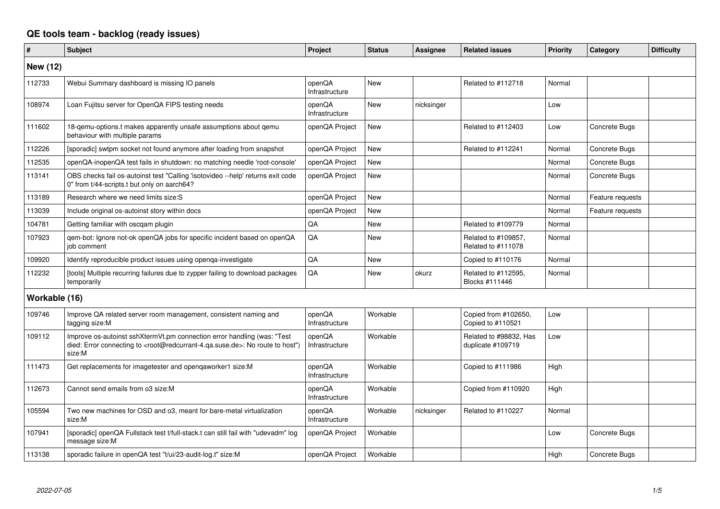## **QE tools team - backlog (ready issues)**

| #               | <b>Subject</b>                                                                                                                                                                                    | Project                  | <b>Status</b> | <b>Assignee</b> | <b>Related issues</b>                       | <b>Priority</b> | Category         | <b>Difficulty</b> |
|-----------------|---------------------------------------------------------------------------------------------------------------------------------------------------------------------------------------------------|--------------------------|---------------|-----------------|---------------------------------------------|-----------------|------------------|-------------------|
| <b>New (12)</b> |                                                                                                                                                                                                   |                          |               |                 |                                             |                 |                  |                   |
| 112733          | Webui Summary dashboard is missing IO panels                                                                                                                                                      | openQA<br>Infrastructure | <b>New</b>    |                 | Related to #112718                          | Normal          |                  |                   |
| 108974          | Loan Fujitsu server for OpenQA FIPS testing needs                                                                                                                                                 | openQA<br>Infrastructure | New           | nicksinger      |                                             | Low             |                  |                   |
| 111602          | 18-gemu-options.t makes apparently unsafe assumptions about gemu<br>behaviour with multiple params                                                                                                | openQA Project           | New           |                 | Related to #112403                          | Low             | Concrete Bugs    |                   |
| 112226          | [sporadic] swtpm socket not found anymore after loading from snapshot                                                                                                                             | openQA Project           | New           |                 | Related to #112241                          | Normal          | Concrete Bugs    |                   |
| 112535          | openQA-inopenQA test fails in shutdown: no matching needle 'root-console'                                                                                                                         | openQA Project           | New           |                 |                                             | Normal          | Concrete Bugs    |                   |
| 113141          | OBS checks fail os-autoinst test "Calling 'isotovideo --help' returns exit code<br>0" from t/44-scripts.t but only on aarch64?                                                                    | openQA Project           | New           |                 |                                             | Normal          | Concrete Bugs    |                   |
| 113189          | Research where we need limits size:S                                                                                                                                                              | openQA Project           | New           |                 |                                             | Normal          | Feature requests |                   |
| 113039          | Include original os-autoinst story within docs                                                                                                                                                    | openQA Project           | New           |                 |                                             | Normal          | Feature requests |                   |
| 104781          | Getting familiar with oscqam plugin                                                                                                                                                               | QA                       | <b>New</b>    |                 | Related to #109779                          | Normal          |                  |                   |
| 107923          | qem-bot: Ignore not-ok openQA jobs for specific incident based on openQA<br>iob comment                                                                                                           | QA                       | New           |                 | Related to #109857,<br>Related to #111078   | Normal          |                  |                   |
| 109920          | Identify reproducible product issues using openqa-investigate                                                                                                                                     | QA                       | <b>New</b>    |                 | Copied to #110176                           | Normal          |                  |                   |
| 112232          | [tools] Multiple recurring failures due to zypper failing to download packages<br>temporarily                                                                                                     | QA                       | New           | okurz           | Related to #112595.<br>Blocks #111446       | Normal          |                  |                   |
| Workable (16)   |                                                                                                                                                                                                   |                          |               |                 |                                             |                 |                  |                   |
| 109746          | Improve QA related server room management, consistent naming and<br>tagging size:M                                                                                                                | openQA<br>Infrastructure | Workable      |                 | Copied from #102650,<br>Copied to #110521   | Low             |                  |                   |
| 109112          | Improve os-autoinst sshXtermVt.pm connection error handling (was: "Test<br>died: Error connecting to <root@redcurrant-4.qa.suse.de>: No route to host")<br/>size:M</root@redcurrant-4.qa.suse.de> | openQA<br>Infrastructure | Workable      |                 | Related to #98832, Has<br>duplicate #109719 | Low             |                  |                   |
| 111473          | Get replacements for imagetester and openqaworker1 size:M                                                                                                                                         | openQA<br>Infrastructure | Workable      |                 | Copied to #111986                           | High            |                  |                   |
| 112673          | Cannot send emails from o3 size: M                                                                                                                                                                | openQA<br>Infrastructure | Workable      |                 | Copied from #110920                         | High            |                  |                   |
| 105594          | Two new machines for OSD and o3, meant for bare-metal virtualization<br>size:M                                                                                                                    | openQA<br>Infrastructure | Workable      | nicksinger      | Related to #110227                          | Normal          |                  |                   |
| 107941          | [sporadic] openQA Fullstack test t/full-stack.t can still fail with "udevadm" log<br>message size:M                                                                                               | openQA Project           | Workable      |                 |                                             | Low             | Concrete Bugs    |                   |
| 113138          | sporadic failure in openQA test "t/ui/23-audit-log.t" size:M                                                                                                                                      | openQA Project           | Workable      |                 |                                             | High            | Concrete Bugs    |                   |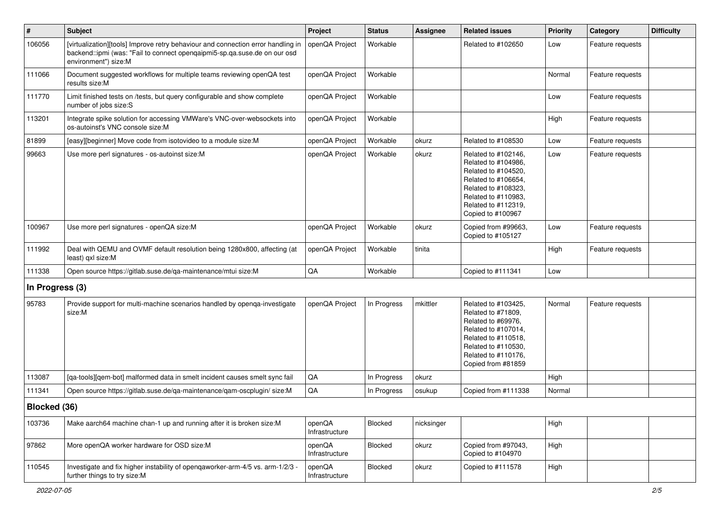| $\vert$ #       | Subject                                                                                                                                                                               | Project                  | <b>Status</b> | <b>Assignee</b> | <b>Related issues</b>                                                                                                                                                              | <b>Priority</b> | Category         | <b>Difficulty</b> |
|-----------------|---------------------------------------------------------------------------------------------------------------------------------------------------------------------------------------|--------------------------|---------------|-----------------|------------------------------------------------------------------------------------------------------------------------------------------------------------------------------------|-----------------|------------------|-------------------|
| 106056          | [virtualization][tools] Improve retry behaviour and connection error handling in<br>backend::ipmi (was: "Fail to connect openqaipmi5-sp.qa.suse.de on our osd<br>environment") size:M | openQA Project           | Workable      |                 | Related to #102650                                                                                                                                                                 | Low             | Feature requests |                   |
| 111066          | Document suggested workflows for multiple teams reviewing openQA test<br>results size:M                                                                                               | openQA Project           | Workable      |                 |                                                                                                                                                                                    | Normal          | Feature requests |                   |
| 111770          | Limit finished tests on /tests, but query configurable and show complete<br>number of jobs size:S                                                                                     | openQA Project           | Workable      |                 |                                                                                                                                                                                    | Low             | Feature requests |                   |
| 113201          | Integrate spike solution for accessing VMWare's VNC-over-websockets into<br>os-autoinst's VNC console size:M                                                                          | openQA Project           | Workable      |                 |                                                                                                                                                                                    | High            | Feature requests |                   |
| 81899           | [easy][beginner] Move code from isotovideo to a module size:M                                                                                                                         | openQA Project           | Workable      | okurz           | Related to #108530                                                                                                                                                                 | Low             | Feature requests |                   |
| 99663           | Use more perl signatures - os-autoinst size:M                                                                                                                                         | openQA Project           | Workable      | okurz           | Related to #102146,<br>Related to #104986,<br>Related to #104520,<br>Related to #106654,<br>Related to #108323,<br>Related to #110983,<br>Related to #112319,<br>Copied to #100967 | Low             | Feature requests |                   |
| 100967          | Use more perl signatures - openQA size:M                                                                                                                                              | openQA Project           | Workable      | okurz           | Copied from #99663,<br>Copied to #105127                                                                                                                                           | Low             | Feature requests |                   |
| 111992          | Deal with QEMU and OVMF default resolution being 1280x800, affecting (at<br>least) qxl size:M                                                                                         | openQA Project           | Workable      | tinita          |                                                                                                                                                                                    | High            | Feature requests |                   |
| 111338          | Open source https://gitlab.suse.de/ga-maintenance/mtui size:M                                                                                                                         | $\mathsf{QA}$            | Workable      |                 | Copied to #111341                                                                                                                                                                  | Low             |                  |                   |
| In Progress (3) |                                                                                                                                                                                       |                          |               |                 |                                                                                                                                                                                    |                 |                  |                   |
| 95783           | Provide support for multi-machine scenarios handled by openqa-investigate<br>size:M                                                                                                   | openQA Project           | In Progress   | mkittler        | Related to #103425,<br>Related to #71809,<br>Related to #69976,<br>Related to #107014,<br>Related to #110518,<br>Related to #110530,<br>Related to #110176,<br>Copied from #81859  | Normal          | Feature requests |                   |
| 113087          | [qa-tools][qem-bot] malformed data in smelt incident causes smelt sync fail                                                                                                           | QA                       | In Progress   | okurz           |                                                                                                                                                                                    | High            |                  |                   |
| 111341          | Open source https://gitlab.suse.de/qa-maintenance/qam-oscplugin/ size:M                                                                                                               | QA                       | In Progress   | osukup          | Copied from #111338                                                                                                                                                                | Normal          |                  |                   |
| Blocked (36)    |                                                                                                                                                                                       |                          |               |                 |                                                                                                                                                                                    |                 |                  |                   |
| 103736          | Make aarch64 machine chan-1 up and running after it is broken size:M                                                                                                                  | openQA<br>Infrastructure | Blocked       | nicksinger      |                                                                                                                                                                                    | High            |                  |                   |
| 97862           | More openQA worker hardware for OSD size:M                                                                                                                                            | openQA<br>Infrastructure | Blocked       | okurz           | Copied from #97043,<br>Copied to #104970                                                                                                                                           | High            |                  |                   |
| 110545          | Investigate and fix higher instability of openqaworker-arm-4/5 vs. arm-1/2/3 -<br>further things to try size:M                                                                        | openQA<br>Infrastructure | Blocked       | okurz           | Copied to #111578                                                                                                                                                                  | High            |                  |                   |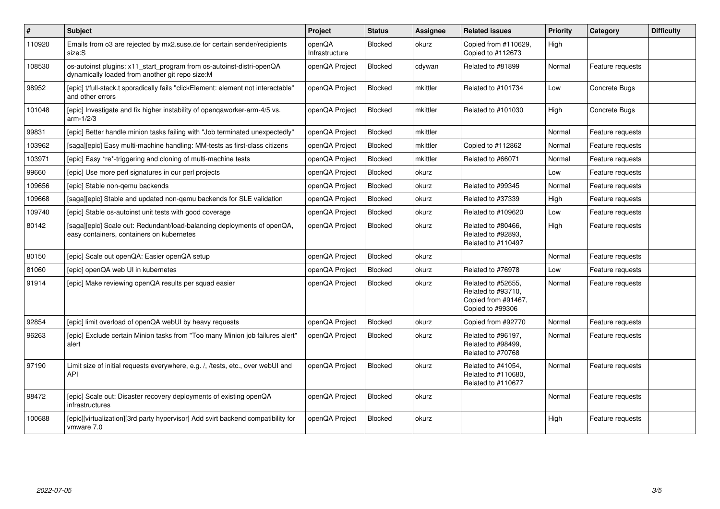| $\sharp$ | <b>Subject</b>                                                                                                           | Project                  | <b>Status</b>  | Assignee | <b>Related issues</b>                                                               | <b>Priority</b> | Category         | <b>Difficulty</b> |
|----------|--------------------------------------------------------------------------------------------------------------------------|--------------------------|----------------|----------|-------------------------------------------------------------------------------------|-----------------|------------------|-------------------|
| 110920   | Emails from o3 are rejected by mx2.suse.de for certain sender/recipients<br>size:S                                       | openQA<br>Infrastructure | <b>Blocked</b> | okurz    | Copied from #110629,<br>Copied to #112673                                           | High            |                  |                   |
| 108530   | os-autoinst plugins: x11_start_program from os-autoinst-distri-openQA<br>dynamically loaded from another git repo size:M | openQA Project           | <b>Blocked</b> | cdywan   | Related to #81899                                                                   | Normal          | Feature requests |                   |
| 98952    | [epic] t/full-stack.t sporadically fails "clickElement: element not interactable"<br>and other errors                    | openQA Project           | <b>Blocked</b> | mkittler | Related to #101734                                                                  | Low             | Concrete Bugs    |                   |
| 101048   | [epic] Investigate and fix higher instability of openqaworker-arm-4/5 vs.<br>$arm-1/2/3$                                 | openQA Project           | Blocked        | mkittler | Related to #101030                                                                  | High            | Concrete Bugs    |                   |
| 99831    | [epic] Better handle minion tasks failing with "Job terminated unexpectedly"                                             | openQA Project           | <b>Blocked</b> | mkittler |                                                                                     | Normal          | Feature requests |                   |
| 103962   | [saga][epic] Easy multi-machine handling: MM-tests as first-class citizens                                               | openQA Project           | <b>Blocked</b> | mkittler | Copied to #112862                                                                   | Normal          | Feature requests |                   |
| 103971   | [epic] Easy *re*-triggering and cloning of multi-machine tests                                                           | openQA Project           | <b>Blocked</b> | mkittler | Related to #66071                                                                   | Normal          | Feature requests |                   |
| 99660    | [epic] Use more perl signatures in our perl projects                                                                     | openQA Project           | <b>Blocked</b> | okurz    |                                                                                     | Low             | Feature requests |                   |
| 109656   | [epic] Stable non-gemu backends                                                                                          | openQA Project           | <b>Blocked</b> | okurz    | Related to #99345                                                                   | Normal          | Feature requests |                   |
| 109668   | [saga][epic] Stable and updated non-qemu backends for SLE validation                                                     | openQA Project           | <b>Blocked</b> | okurz    | Related to #37339                                                                   | High            | Feature requests |                   |
| 109740   | [epic] Stable os-autoinst unit tests with good coverage                                                                  | openQA Project           | <b>Blocked</b> | okurz    | Related to #109620                                                                  | Low             | Feature requests |                   |
| 80142    | [saga][epic] Scale out: Redundant/load-balancing deployments of openQA,<br>easy containers, containers on kubernetes     | openQA Project           | Blocked        | okurz    | Related to #80466,<br>Related to #92893,<br>Related to #110497                      | High            | Feature requests |                   |
| 80150    | [epic] Scale out openQA: Easier openQA setup                                                                             | openQA Project           | <b>Blocked</b> | okurz    |                                                                                     | Normal          | Feature requests |                   |
| 81060    | [epic] openQA web UI in kubernetes                                                                                       | openQA Project           | <b>Blocked</b> | okurz    | Related to #76978                                                                   | Low             | Feature requests |                   |
| 91914    | [epic] Make reviewing openQA results per squad easier                                                                    | openQA Project           | <b>Blocked</b> | okurz    | Related to #52655,<br>Related to #93710,<br>Copied from #91467,<br>Copied to #99306 | Normal          | Feature requests |                   |
| 92854    | [epic] limit overload of openQA webUI by heavy requests                                                                  | openQA Project           | <b>Blocked</b> | okurz    | Copied from #92770                                                                  | Normal          | Feature requests |                   |
| 96263    | [epic] Exclude certain Minion tasks from "Too many Minion job failures alert"<br>alert                                   | openQA Project           | Blocked        | okurz    | Related to #96197.<br>Related to #98499.<br>Related to #70768                       | Normal          | Feature requests |                   |
| 97190    | Limit size of initial requests everywhere, e.g. /, /tests, etc., over webUI and<br>API                                   | openQA Project           | Blocked        | okurz    | Related to #41054,<br>Related to #110680,<br>Related to #110677                     | Normal          | Feature requests |                   |
| 98472    | [epic] Scale out: Disaster recovery deployments of existing openQA<br>infrastructures                                    | openQA Project           | <b>Blocked</b> | okurz    |                                                                                     | Normal          | Feature requests |                   |
| 100688   | [epic][virtualization][3rd party hypervisor] Add svirt backend compatibility for<br>vmware 7.0                           | openQA Project           | <b>Blocked</b> | okurz    |                                                                                     | High            | Feature requests |                   |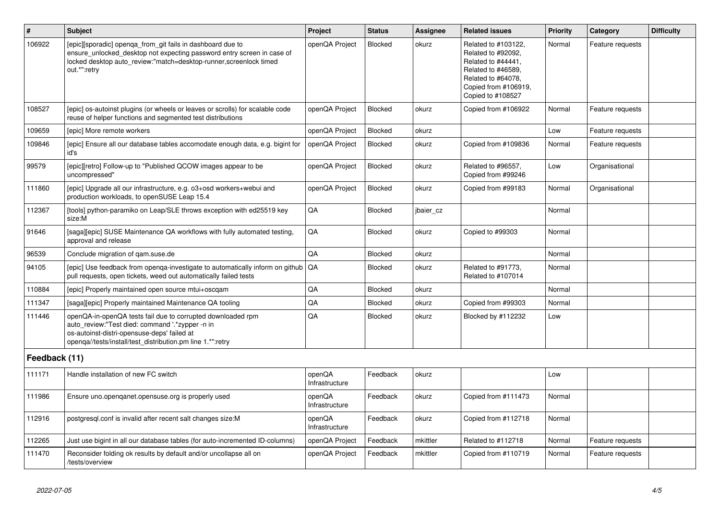| $\sharp$      | <b>Subject</b>                                                                                                                                                                                                              | Project                  | <b>Status</b>  | <b>Assignee</b> | <b>Related issues</b>                                                                                                                                    | <b>Priority</b> | Category         | <b>Difficulty</b> |
|---------------|-----------------------------------------------------------------------------------------------------------------------------------------------------------------------------------------------------------------------------|--------------------------|----------------|-----------------|----------------------------------------------------------------------------------------------------------------------------------------------------------|-----------------|------------------|-------------------|
| 106922        | [epic][sporadic] openga_from_git fails in dashboard due to<br>ensure_unlocked_desktop not expecting password entry screen in case of<br>locked desktop auto review:"match=desktop-runner, screenlock timed<br>out.*":retry  | openQA Project           | <b>Blocked</b> | okurz           | Related to #103122,<br>Related to #92092,<br>Related to #44441,<br>Related to #46589.<br>Related to #64078.<br>Copied from #106919,<br>Copied to #108527 | Normal          | Feature requests |                   |
| 108527        | [epic] os-autoinst plugins (or wheels or leaves or scrolls) for scalable code<br>reuse of helper functions and segmented test distributions                                                                                 | openQA Project           | Blocked        | okurz           | Copied from #106922                                                                                                                                      | Normal          | Feature requests |                   |
| 109659        | [epic] More remote workers                                                                                                                                                                                                  | openQA Project           | <b>Blocked</b> | okurz           |                                                                                                                                                          | Low             | Feature requests |                   |
| 109846        | [epic] Ensure all our database tables accomodate enough data, e.g. bigint for<br>id's                                                                                                                                       | openQA Project           | Blocked        | okurz           | Copied from #109836                                                                                                                                      | Normal          | Feature requests |                   |
| 99579         | [epic][retro] Follow-up to "Published QCOW images appear to be<br>uncompressed"                                                                                                                                             | openQA Project           | <b>Blocked</b> | okurz           | Related to #96557,<br>Copied from #99246                                                                                                                 | Low             | Organisational   |                   |
| 111860        | [epic] Upgrade all our infrastructure, e.g. o3+osd workers+webui and<br>production workloads, to openSUSE Leap 15.4                                                                                                         | openQA Project           | <b>Blocked</b> | okurz           | Copied from #99183                                                                                                                                       | Normal          | Organisational   |                   |
| 112367        | [tools] python-paramiko on Leap/SLE throws exception with ed25519 key<br>size:M                                                                                                                                             | QA                       | Blocked        | jbaier_cz       |                                                                                                                                                          | Normal          |                  |                   |
| 91646         | [saga][epic] SUSE Maintenance QA workflows with fully automated testing,<br>approval and release                                                                                                                            | QA                       | <b>Blocked</b> | okurz           | Copied to #99303                                                                                                                                         | Normal          |                  |                   |
| 96539         | Conclude migration of gam.suse.de                                                                                                                                                                                           | QA                       | <b>Blocked</b> | okurz           |                                                                                                                                                          | Normal          |                  |                   |
| 94105         | [epic] Use feedback from openga-investigate to automatically inform on github  <br>pull requests, open tickets, weed out automatically failed tests                                                                         | QA                       | <b>Blocked</b> | okurz           | Related to #91773,<br>Related to #107014                                                                                                                 | Normal          |                  |                   |
| 110884        | [epic] Properly maintained open source mtui+oscgam                                                                                                                                                                          | QA                       | <b>Blocked</b> | okurz           |                                                                                                                                                          | Normal          |                  |                   |
| 111347        | [saga][epic] Properly maintained Maintenance QA tooling                                                                                                                                                                     | QA                       | <b>Blocked</b> | okurz           | Copied from #99303                                                                                                                                       | Normal          |                  |                   |
| 111446        | openQA-in-openQA tests fail due to corrupted downloaded rpm<br>auto review:"Test died: command '.*zypper -n in<br>os-autoinst-distri-opensuse-deps' failed at<br>openga//tests/install/test_distribution.pm line 1.*":retry | QA                       | Blocked        | okurz           | Blocked by #112232                                                                                                                                       | Low             |                  |                   |
| Feedback (11) |                                                                                                                                                                                                                             |                          |                |                 |                                                                                                                                                          |                 |                  |                   |
| 111171        | Handle installation of new FC switch                                                                                                                                                                                        | openQA<br>Infrastructure | Feedback       | okurz           |                                                                                                                                                          | Low             |                  |                   |
| 111986        | Ensure uno.openqanet.opensuse.org is properly used                                                                                                                                                                          | openQA<br>Infrastructure | Feedback       | okurz           | Copied from #111473                                                                                                                                      | Normal          |                  |                   |
| 112916        | postgresql.conf is invalid after recent salt changes size:M                                                                                                                                                                 | openQA<br>Infrastructure | Feedback       | okurz           | Copied from #112718                                                                                                                                      | Normal          |                  |                   |
| 112265        | Just use bigint in all our database tables (for auto-incremented ID-columns)                                                                                                                                                | openQA Project           | Feedback       | mkittler        | Related to #112718                                                                                                                                       | Normal          | Feature requests |                   |
| 111470        | Reconsider folding ok results by default and/or uncollapse all on<br>/tests/overview                                                                                                                                        | openQA Project           | Feedback       | mkittler        | Copied from #110719                                                                                                                                      | Normal          | Feature requests |                   |